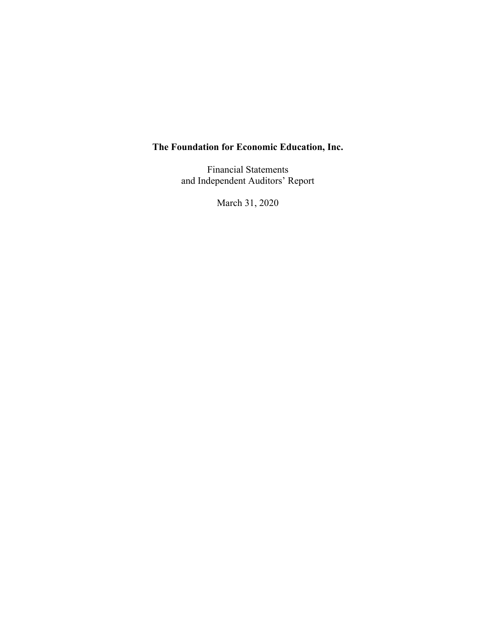Financial Statements and Independent Auditors' Report

March 31, 2020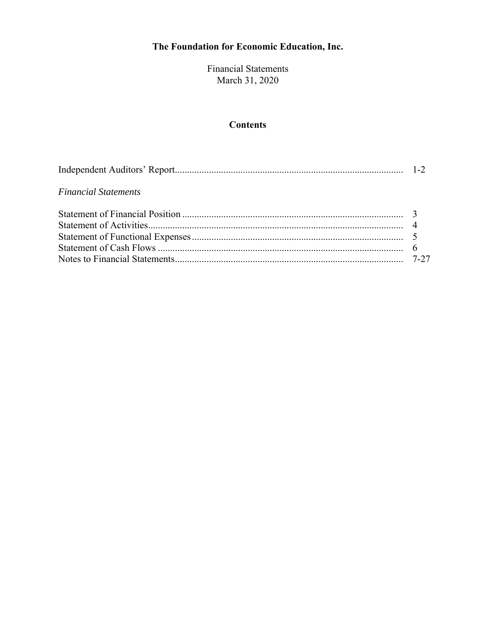Financial Statements March 31, 2020

# **Contents**

| <b>Financial Statements</b> |  |
|-----------------------------|--|
|                             |  |
|                             |  |
|                             |  |
|                             |  |
|                             |  |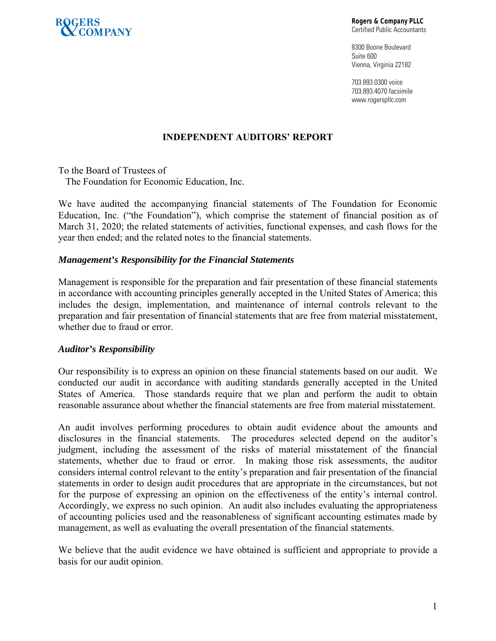

**Rogers & Company PLLC**  Certified Public Accountants

8300 Boone Boulevard Suite 600 Vienna, Virginia 22182

703.893.0300 voice 703.893.4070 facsimile www.rogerspllc.com

# **INDEPENDENT AUDITORS' REPORT**

To the Board of Trustees of The Foundation for Economic Education, Inc.

We have audited the accompanying financial statements of The Foundation for Economic Education, Inc. ("the Foundation"), which comprise the statement of financial position as of March 31, 2020; the related statements of activities, functional expenses, and cash flows for the year then ended; and the related notes to the financial statements.

### *Management's Responsibility for the Financial Statements*

Management is responsible for the preparation and fair presentation of these financial statements in accordance with accounting principles generally accepted in the United States of America; this includes the design, implementation, and maintenance of internal controls relevant to the preparation and fair presentation of financial statements that are free from material misstatement, whether due to fraud or error.

#### *Auditor's Responsibility*

Our responsibility is to express an opinion on these financial statements based on our audit. We conducted our audit in accordance with auditing standards generally accepted in the United States of America. Those standards require that we plan and perform the audit to obtain reasonable assurance about whether the financial statements are free from material misstatement.

An audit involves performing procedures to obtain audit evidence about the amounts and disclosures in the financial statements. The procedures selected depend on the auditor's judgment, including the assessment of the risks of material misstatement of the financial statements, whether due to fraud or error. In making those risk assessments, the auditor considers internal control relevant to the entity's preparation and fair presentation of the financial statements in order to design audit procedures that are appropriate in the circumstances, but not for the purpose of expressing an opinion on the effectiveness of the entity's internal control. Accordingly, we express no such opinion. An audit also includes evaluating the appropriateness of accounting policies used and the reasonableness of significant accounting estimates made by management, as well as evaluating the overall presentation of the financial statements.

We believe that the audit evidence we have obtained is sufficient and appropriate to provide a basis for our audit opinion.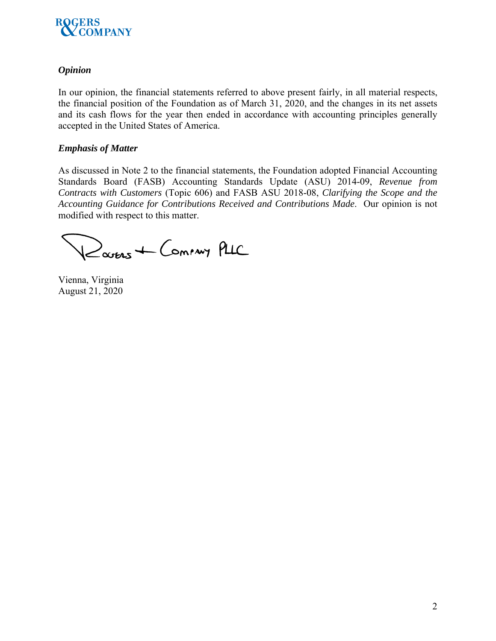

# *Opinion*

In our opinion, the financial statements referred to above present fairly, in all material respects, the financial position of the Foundation as of March 31, 2020, and the changes in its net assets and its cash flows for the year then ended in accordance with accounting principles generally accepted in the United States of America.

# *Emphasis of Matter*

As discussed in Note 2 to the financial statements, the Foundation adopted Financial Accounting Standards Board (FASB) Accounting Standards Update (ASU) 2014-09, *Revenue from Contracts with Customers* (Topic 606) and FASB ASU 2018-08, *Clarifying the Scope and the Accounting Guidance for Contributions Received and Contributions Made*. Our opinion is not modified with respect to this matter.

Rouers + Coming PLIC

Vienna, Virginia August 21, 2020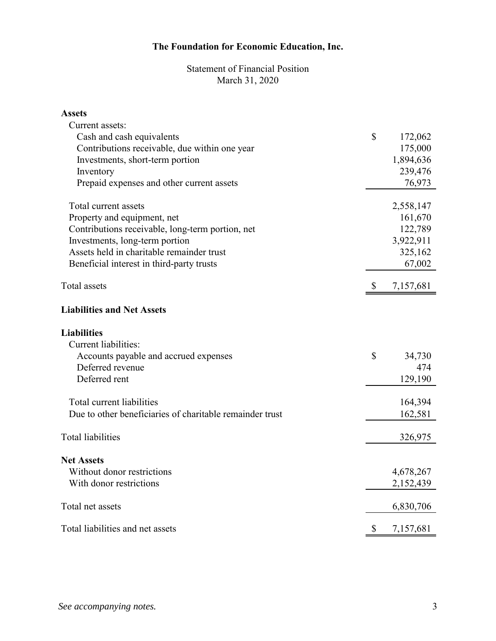Statement of Financial Position March 31, 2020

| <b>Assets</b>                                            |                 |
|----------------------------------------------------------|-----------------|
| Current assets:                                          |                 |
| Cash and cash equivalents                                | \$<br>172,062   |
| Contributions receivable, due within one year            | 175,000         |
| Investments, short-term portion                          | 1,894,636       |
| Inventory                                                | 239,476         |
| Prepaid expenses and other current assets                | 76,973          |
| Total current assets                                     | 2,558,147       |
| Property and equipment, net                              | 161,670         |
| Contributions receivable, long-term portion, net         | 122,789         |
| Investments, long-term portion                           | 3,922,911       |
| Assets held in charitable remainder trust                | 325,162         |
| Beneficial interest in third-party trusts                | 67,002          |
| Total assets                                             | \$<br>7,157,681 |
| <b>Liabilities and Net Assets</b>                        |                 |
| <b>Liabilities</b>                                       |                 |
| <b>Current liabilities:</b>                              |                 |
| Accounts payable and accrued expenses                    | \$<br>34,730    |
| Deferred revenue                                         | 474             |
| Deferred rent                                            | 129,190         |
| Total current liabilities                                | 164,394         |
| Due to other beneficiaries of charitable remainder trust | 162,581         |
| <b>Total liabilities</b>                                 | 326,975         |
| <b>Net Assets</b>                                        |                 |
| Without donor restrictions                               | 4,678,267       |
| With donor restrictions                                  | 2,152,439       |
|                                                          |                 |
| Total net assets                                         | 6,830,706       |
| Total liabilities and net assets                         | \$<br>7,157,681 |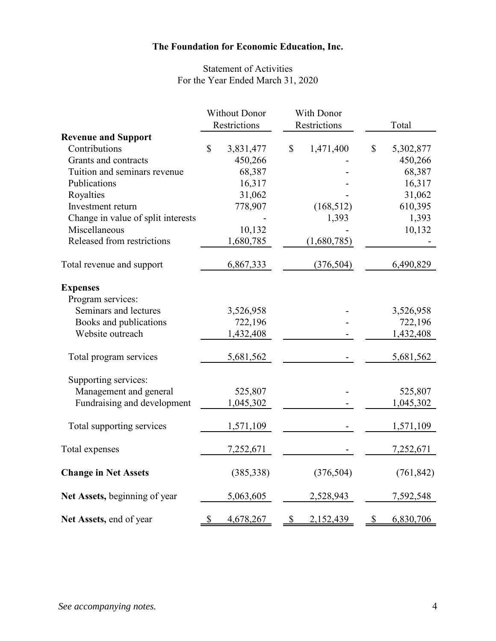# Statement of Activities For the Year Ended March 31, 2020

|                                    | <b>Without Donor</b> |              | With Donor |              |    |            |
|------------------------------------|----------------------|--------------|------------|--------------|----|------------|
|                                    |                      | Restrictions |            | Restrictions |    | Total      |
| <b>Revenue and Support</b>         |                      |              |            |              |    |            |
| Contributions                      | \$                   | 3,831,477    | \$         | 1,471,400    | \$ | 5,302,877  |
| Grants and contracts               |                      | 450,266      |            |              |    | 450,266    |
| Tuition and seminars revenue       |                      | 68,387       |            |              |    | 68,387     |
| Publications                       |                      | 16,317       |            |              |    | 16,317     |
| Royalties                          |                      | 31,062       |            |              |    | 31,062     |
| Investment return                  |                      | 778,907      |            | (168, 512)   |    | 610,395    |
| Change in value of split interests |                      |              |            | 1,393        |    | 1,393      |
| Miscellaneous                      |                      | 10,132       |            |              |    | 10,132     |
| Released from restrictions         |                      | 1,680,785    |            | (1,680,785)  |    |            |
| Total revenue and support          |                      | 6,867,333    |            | (376, 504)   |    | 6,490,829  |
| <b>Expenses</b>                    |                      |              |            |              |    |            |
| Program services:                  |                      |              |            |              |    |            |
| Seminars and lectures              |                      | 3,526,958    |            |              |    | 3,526,958  |
| Books and publications             |                      | 722,196      |            |              |    | 722,196    |
| Website outreach                   |                      | 1,432,408    |            |              |    | 1,432,408  |
| Total program services             |                      | 5,681,562    |            |              |    | 5,681,562  |
| Supporting services:               |                      |              |            |              |    |            |
| Management and general             |                      | 525,807      |            |              |    | 525,807    |
| Fundraising and development        |                      | 1,045,302    |            |              |    | 1,045,302  |
| Total supporting services          |                      | 1,571,109    |            |              |    | 1,571,109  |
| Total expenses                     |                      | 7,252,671    |            |              |    | 7,252,671  |
| <b>Change in Net Assets</b>        |                      | (385, 338)   |            | (376, 504)   |    | (761, 842) |
| Net Assets, beginning of year      |                      | 5,063,605    |            | 2,528,943    |    | 7,592,548  |
| Net Assets, end of year            | \$                   | 4,678,267    | \$         | 2,152,439    | \$ | 6,830,706  |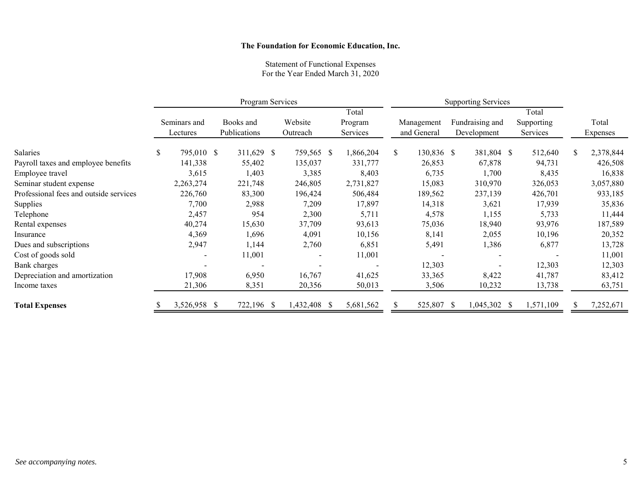Statement of Functional Expenses For the Year Ended March 31, 2020

|                                        | Program Services                                         |              |                               |            |           |                     | <b>Supporting Services</b> |       |              |  |                 |           |
|----------------------------------------|----------------------------------------------------------|--------------|-------------------------------|------------|-----------|---------------------|----------------------------|-------|--------------|--|-----------------|-----------|
|                                        | Total<br>Books and<br>Website<br>Seminars and<br>Program |              | Fundraising and<br>Management |            |           | Total<br>Supporting |                            | Total |              |  |                 |           |
|                                        | Lectures                                                 | Publications | Outreach                      |            | Services  |                     | and General                |       | Development  |  | <b>Services</b> | Expenses  |
| Salaries                               | <sup>\$</sup><br>795,010 \$                              | 311,629 \$   |                               | 759,565 \$ | 1,866,204 | \$                  | 130,836 \$                 |       | 381,804 \$   |  | 512,640         | 2,378,844 |
| Payroll taxes and employee benefits    | 141,338                                                  | 55,402       | 135,037                       |            | 331,777   |                     | 26,853                     |       | 67,878       |  | 94,731          | 426,508   |
| Employee travel                        | 3,615                                                    | 1,403        |                               | 3,385      | 8,403     |                     | 6,735                      |       | 1,700        |  | 8,435           | 16,838    |
| Seminar student expense                | 2,263,274                                                | 221,748      | 246,805                       |            | 2,731,827 |                     | 15,083                     |       | 310,970      |  | 326,053         | 3,057,880 |
| Professional fees and outside services | 226,760                                                  | 83,300       | 196,424                       |            | 506,484   |                     | 189,562                    |       | 237,139      |  | 426,701         | 933,185   |
| Supplies                               | 7,700                                                    | 2,988        |                               | 7,209      | 17,897    |                     | 14,318                     |       | 3,621        |  | 17,939          | 35,836    |
| Telephone                              | 2,457                                                    | 954          |                               | 2,300      | 5,711     |                     | 4,578                      |       | 1,155        |  | 5,733           | 11,444    |
| Rental expenses                        | 40,274                                                   | 15,630       | 37,709                        |            | 93,613    |                     | 75,036                     |       | 18,940       |  | 93,976          | 187,589   |
| Insurance                              | 4,369                                                    | 1,696        | 4,091                         |            | 10,156    |                     | 8,141                      |       | 2,055        |  | 10,196          | 20,352    |
| Dues and subscriptions                 | 2,947                                                    | 1,144        |                               | 2,760      | 6,851     |                     | 5,491                      |       | 1,386        |  | 6,877           | 13,728    |
| Cost of goods sold                     |                                                          | 11,001       |                               |            | 11,001    |                     |                            |       |              |  |                 | 11,001    |
| Bank charges                           |                                                          |              |                               |            |           |                     | 12,303                     |       |              |  | 12,303          | 12,303    |
| Depreciation and amortization          | 17,908                                                   | 6,950        | 16,767                        |            | 41,625    |                     | 33,365                     |       | 8,422        |  | 41,787          | 83,412    |
| Income taxes                           | 21,306                                                   | 8,351        | 20,356                        |            | 50,013    |                     | 3,506                      |       | 10,232       |  | 13,738          | 63,751    |
| <b>Total Expenses</b>                  | 3,526,958 \$                                             | 722,196 \$   | 1,432,408                     | -S         | 5,681,562 |                     | 525,807 \$                 |       | 1,045,302 \$ |  | 1,571,109       | 7,252,671 |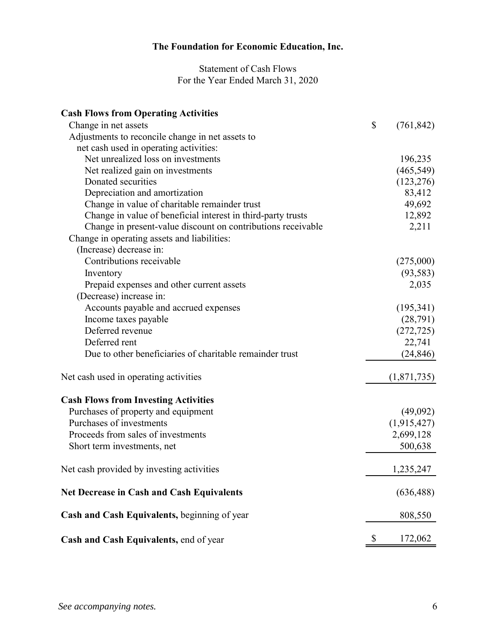# Statement of Cash Flows For the Year Ended March 31, 2020

| <b>Cash Flows from Operating Activities</b>                  |                  |
|--------------------------------------------------------------|------------------|
| Change in net assets                                         | \$<br>(761, 842) |
| Adjustments to reconcile change in net assets to             |                  |
| net cash used in operating activities:                       |                  |
| Net unrealized loss on investments                           | 196,235          |
| Net realized gain on investments                             | (465, 549)       |
| Donated securities                                           | (123, 276)       |
| Depreciation and amortization                                | 83,412           |
| Change in value of charitable remainder trust                | 49,692           |
| Change in value of beneficial interest in third-party trusts | 12,892           |
| Change in present-value discount on contributions receivable | 2,211            |
| Change in operating assets and liabilities:                  |                  |
| (Increase) decrease in:                                      |                  |
| Contributions receivable                                     | (275,000)        |
| Inventory                                                    | (93, 583)        |
| Prepaid expenses and other current assets                    | 2,035            |
| (Decrease) increase in:                                      |                  |
| Accounts payable and accrued expenses                        | (195, 341)       |
| Income taxes payable                                         | (28,791)         |
| Deferred revenue                                             | (272, 725)       |
| Deferred rent                                                | 22,741           |
| Due to other beneficiaries of charitable remainder trust     | (24, 846)        |
| Net cash used in operating activities                        | (1,871,735)      |
| <b>Cash Flows from Investing Activities</b>                  |                  |
| Purchases of property and equipment                          | (49,092)         |
| Purchases of investments                                     | (1,915,427)      |
| Proceeds from sales of investments                           | 2,699,128        |
| Short term investments, net                                  | 500,638          |
| Net cash provided by investing activities                    | 1,235,247        |
| <b>Net Decrease in Cash and Cash Equivalents</b>             | (636, 488)       |
| Cash and Cash Equivalents, beginning of year                 | 808,550          |
| Cash and Cash Equivalents, end of year                       | \$<br>172,062    |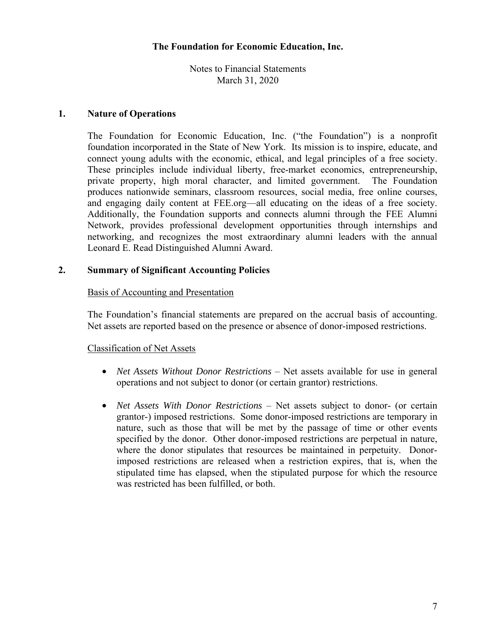Notes to Financial Statements March 31, 2020

#### **1. Nature of Operations**

The Foundation for Economic Education, Inc. ("the Foundation") is a nonprofit foundation incorporated in the State of New York. Its mission is to inspire, educate, and connect young adults with the economic, ethical, and legal principles of a free society. These principles include individual liberty, free-market economics, entrepreneurship, private property, high moral character, and limited government. The Foundation produces nationwide seminars, classroom resources, social media, free online courses, and engaging daily content at FEE.org—all educating on the ideas of a free society. Additionally, the Foundation supports and connects alumni through the FEE Alumni Network, provides professional development opportunities through internships and networking, and recognizes the most extraordinary alumni leaders with the annual Leonard E. Read Distinguished Alumni Award.

### **2. Summary of Significant Accounting Policies**

#### Basis of Accounting and Presentation

The Foundation's financial statements are prepared on the accrual basis of accounting. Net assets are reported based on the presence or absence of donor-imposed restrictions.

### Classification of Net Assets

- *Net Assets Without Donor Restrictions* Net assets available for use in general operations and not subject to donor (or certain grantor) restrictions.
- *Net Assets With Donor Restrictions* Net assets subject to donor- (or certain grantor-) imposed restrictions. Some donor-imposed restrictions are temporary in nature, such as those that will be met by the passage of time or other events specified by the donor. Other donor-imposed restrictions are perpetual in nature, where the donor stipulates that resources be maintained in perpetuity. Donorimposed restrictions are released when a restriction expires, that is, when the stipulated time has elapsed, when the stipulated purpose for which the resource was restricted has been fulfilled, or both.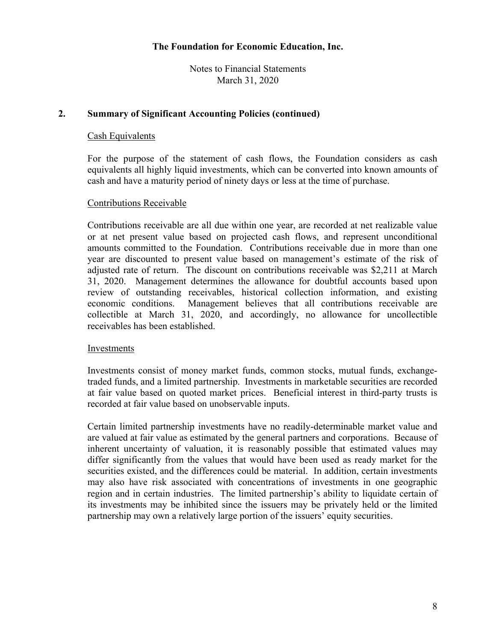Notes to Financial Statements March 31, 2020

# **2. Summary of Significant Accounting Policies (continued)**

### Cash Equivalents

For the purpose of the statement of cash flows, the Foundation considers as cash equivalents all highly liquid investments, which can be converted into known amounts of cash and have a maturity period of ninety days or less at the time of purchase.

# Contributions Receivable

Contributions receivable are all due within one year, are recorded at net realizable value or at net present value based on projected cash flows, and represent unconditional amounts committed to the Foundation. Contributions receivable due in more than one year are discounted to present value based on management's estimate of the risk of adjusted rate of return. The discount on contributions receivable was \$2,211 at March 31, 2020. Management determines the allowance for doubtful accounts based upon review of outstanding receivables, historical collection information, and existing economic conditions. Management believes that all contributions receivable are collectible at March 31, 2020, and accordingly, no allowance for uncollectible receivables has been established.

### Investments

Investments consist of money market funds, common stocks, mutual funds, exchangetraded funds, and a limited partnership. Investments in marketable securities are recorded at fair value based on quoted market prices. Beneficial interest in third-party trusts is recorded at fair value based on unobservable inputs.

Certain limited partnership investments have no readily-determinable market value and are valued at fair value as estimated by the general partners and corporations. Because of inherent uncertainty of valuation, it is reasonably possible that estimated values may differ significantly from the values that would have been used as ready market for the securities existed, and the differences could be material. In addition, certain investments may also have risk associated with concentrations of investments in one geographic region and in certain industries. The limited partnership's ability to liquidate certain of its investments may be inhibited since the issuers may be privately held or the limited partnership may own a relatively large portion of the issuers' equity securities.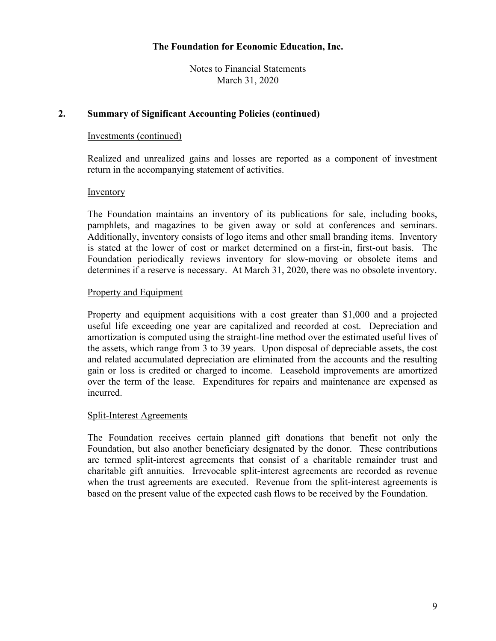Notes to Financial Statements March 31, 2020

### **2. Summary of Significant Accounting Policies (continued)**

#### Investments (continued)

Realized and unrealized gains and losses are reported as a component of investment return in the accompanying statement of activities.

#### Inventory

The Foundation maintains an inventory of its publications for sale, including books, pamphlets, and magazines to be given away or sold at conferences and seminars. Additionally, inventory consists of logo items and other small branding items. Inventory is stated at the lower of cost or market determined on a first-in, first-out basis. The Foundation periodically reviews inventory for slow-moving or obsolete items and determines if a reserve is necessary. At March 31, 2020, there was no obsolete inventory.

#### Property and Equipment

Property and equipment acquisitions with a cost greater than \$1,000 and a projected useful life exceeding one year are capitalized and recorded at cost. Depreciation and amortization is computed using the straight-line method over the estimated useful lives of the assets, which range from 3 to 39 years. Upon disposal of depreciable assets, the cost and related accumulated depreciation are eliminated from the accounts and the resulting gain or loss is credited or charged to income. Leasehold improvements are amortized over the term of the lease. Expenditures for repairs and maintenance are expensed as incurred.

#### Split-Interest Agreements

The Foundation receives certain planned gift donations that benefit not only the Foundation, but also another beneficiary designated by the donor. These contributions are termed split-interest agreements that consist of a charitable remainder trust and charitable gift annuities. Irrevocable split-interest agreements are recorded as revenue when the trust agreements are executed. Revenue from the split-interest agreements is based on the present value of the expected cash flows to be received by the Foundation.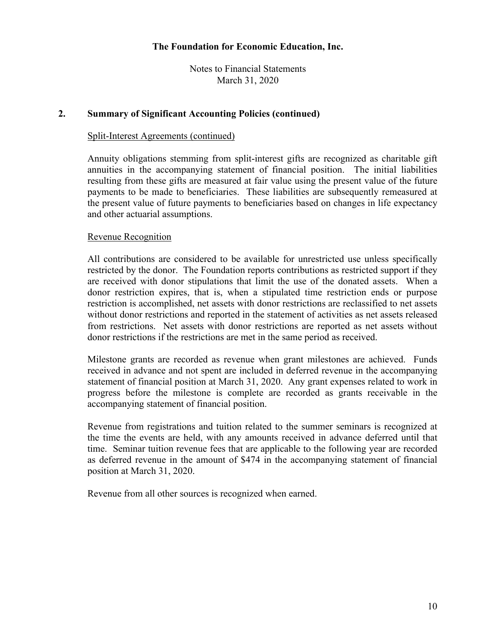Notes to Financial Statements March 31, 2020

#### **2. Summary of Significant Accounting Policies (continued)**

#### Split-Interest Agreements (continued)

Annuity obligations stemming from split-interest gifts are recognized as charitable gift annuities in the accompanying statement of financial position. The initial liabilities resulting from these gifts are measured at fair value using the present value of the future payments to be made to beneficiaries. These liabilities are subsequently remeasured at the present value of future payments to beneficiaries based on changes in life expectancy and other actuarial assumptions.

### Revenue Recognition

All contributions are considered to be available for unrestricted use unless specifically restricted by the donor. The Foundation reports contributions as restricted support if they are received with donor stipulations that limit the use of the donated assets. When a donor restriction expires, that is, when a stipulated time restriction ends or purpose restriction is accomplished, net assets with donor restrictions are reclassified to net assets without donor restrictions and reported in the statement of activities as net assets released from restrictions. Net assets with donor restrictions are reported as net assets without donor restrictions if the restrictions are met in the same period as received.

Milestone grants are recorded as revenue when grant milestones are achieved. Funds received in advance and not spent are included in deferred revenue in the accompanying statement of financial position at March 31, 2020. Any grant expenses related to work in progress before the milestone is complete are recorded as grants receivable in the accompanying statement of financial position.

Revenue from registrations and tuition related to the summer seminars is recognized at the time the events are held, with any amounts received in advance deferred until that time. Seminar tuition revenue fees that are applicable to the following year are recorded as deferred revenue in the amount of \$474 in the accompanying statement of financial position at March 31, 2020.

Revenue from all other sources is recognized when earned.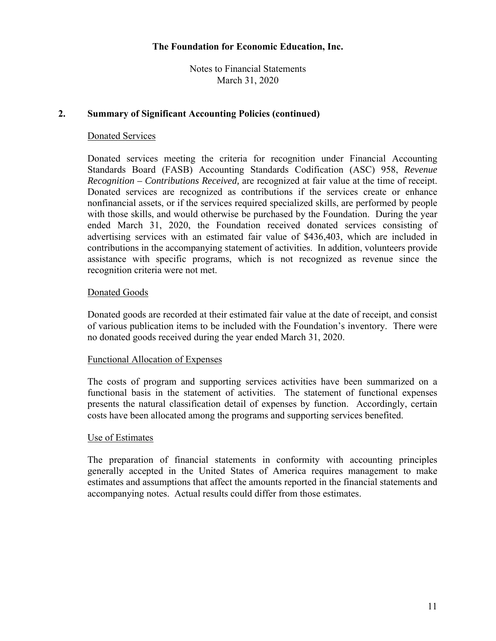Notes to Financial Statements March 31, 2020

### **2. Summary of Significant Accounting Policies (continued)**

#### Donated Services

Donated services meeting the criteria for recognition under Financial Accounting Standards Board (FASB) Accounting Standards Codification (ASC) 958, *Revenue Recognition – Contributions Received,* are recognized at fair value at the time of receipt. Donated services are recognized as contributions if the services create or enhance nonfinancial assets, or if the services required specialized skills, are performed by people with those skills, and would otherwise be purchased by the Foundation. During the year ended March 31, 2020, the Foundation received donated services consisting of advertising services with an estimated fair value of \$436,403, which are included in contributions in the accompanying statement of activities. In addition, volunteers provide assistance with specific programs, which is not recognized as revenue since the recognition criteria were not met.

#### Donated Goods

Donated goods are recorded at their estimated fair value at the date of receipt, and consist of various publication items to be included with the Foundation's inventory. There were no donated goods received during the year ended March 31, 2020.

### Functional Allocation of Expenses

The costs of program and supporting services activities have been summarized on a functional basis in the statement of activities. The statement of functional expenses presents the natural classification detail of expenses by function. Accordingly, certain costs have been allocated among the programs and supporting services benefited.

#### Use of Estimates

The preparation of financial statements in conformity with accounting principles generally accepted in the United States of America requires management to make estimates and assumptions that affect the amounts reported in the financial statements and accompanying notes. Actual results could differ from those estimates.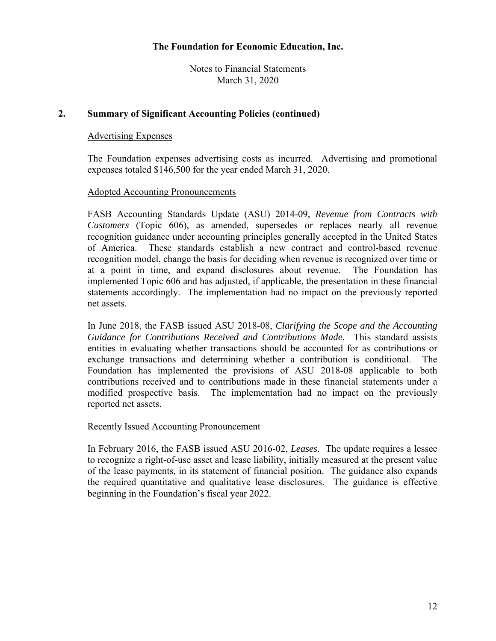Notes to Financial Statements March 31, 2020

# **2. Summary of Significant Accounting Policies (continued)**

### Advertising Expenses

The Foundation expenses advertising costs as incurred. Advertising and promotional expenses totaled \$146,500 for the year ended March 31, 2020.

### Adopted Accounting Pronouncements

FASB Accounting Standards Update (ASU) 2014-09, *Revenue from Contracts with Customers* (Topic 606), as amended, supersedes or replaces nearly all revenue recognition guidance under accounting principles generally accepted in the United States of America. These standards establish a new contract and control-based revenue recognition model, change the basis for deciding when revenue is recognized over time or at a point in time, and expand disclosures about revenue. The Foundation has implemented Topic 606 and has adjusted, if applicable, the presentation in these financial statements accordingly. The implementation had no impact on the previously reported net assets.

In June 2018, the FASB issued ASU 2018-08, *Clarifying the Scope and the Accounting Guidance for Contributions Received and Contributions Made*. This standard assists entities in evaluating whether transactions should be accounted for as contributions or exchange transactions and determining whether a contribution is conditional. The Foundation has implemented the provisions of ASU 2018-08 applicable to both contributions received and to contributions made in these financial statements under a modified prospective basis. The implementation had no impact on the previously reported net assets.

#### Recently Issued Accounting Pronouncement

In February 2016, the FASB issued ASU 2016-02, *Leases*. The update requires a lessee to recognize a right-of-use asset and lease liability, initially measured at the present value of the lease payments, in its statement of financial position. The guidance also expands the required quantitative and qualitative lease disclosures. The guidance is effective beginning in the Foundation's fiscal year 2022.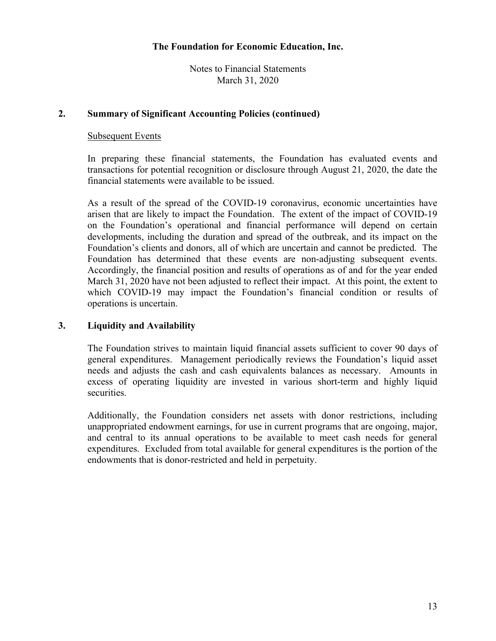Notes to Financial Statements March 31, 2020

### **2. Summary of Significant Accounting Policies (continued)**

### Subsequent Events

In preparing these financial statements, the Foundation has evaluated events and transactions for potential recognition or disclosure through August 21, 2020, the date the financial statements were available to be issued.

As a result of the spread of the COVID-19 coronavirus, economic uncertainties have arisen that are likely to impact the Foundation. The extent of the impact of COVID-19 on the Foundation's operational and financial performance will depend on certain developments, including the duration and spread of the outbreak, and its impact on the Foundation's clients and donors, all of which are uncertain and cannot be predicted. The Foundation has determined that these events are non-adjusting subsequent events. Accordingly, the financial position and results of operations as of and for the year ended March 31, 2020 have not been adjusted to reflect their impact. At this point, the extent to which COVID-19 may impact the Foundation's financial condition or results of operations is uncertain.

# **3. Liquidity and Availability**

The Foundation strives to maintain liquid financial assets sufficient to cover 90 days of general expenditures. Management periodically reviews the Foundation's liquid asset needs and adjusts the cash and cash equivalents balances as necessary. Amounts in excess of operating liquidity are invested in various short-term and highly liquid securities.

Additionally, the Foundation considers net assets with donor restrictions, including unappropriated endowment earnings, for use in current programs that are ongoing, major, and central to its annual operations to be available to meet cash needs for general expenditures. Excluded from total available for general expenditures is the portion of the endowments that is donor-restricted and held in perpetuity.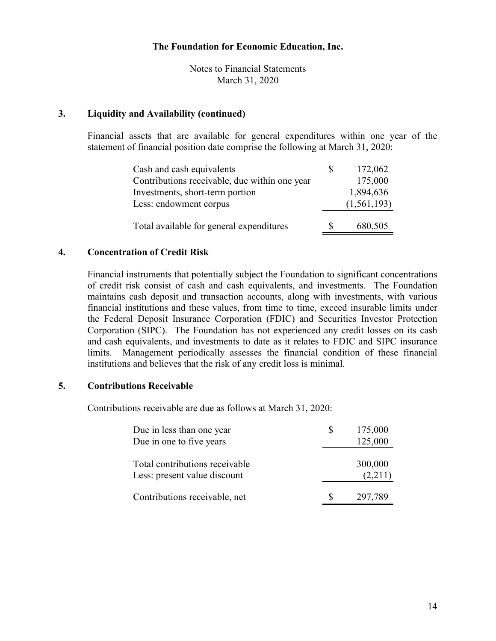Notes to Financial Statements March 31, 2020

#### **3. Liquidity and Availability (continued)**

Financial assets that are available for general expenditures within one year of the statement of financial position date comprise the following at March 31, 2020:

| Cash and cash equivalents                     | 172,062     |
|-----------------------------------------------|-------------|
| Contributions receivable, due within one year | 175,000     |
| Investments, short-term portion               | 1,894,636   |
| Less: endowment corpus                        | (1,561,193) |
|                                               |             |
| Total available for general expenditures      | 680,505     |

### **4. Concentration of Credit Risk**

Financial instruments that potentially subject the Foundation to significant concentrations of credit risk consist of cash and cash equivalents, and investments. The Foundation maintains cash deposit and transaction accounts, along with investments, with various financial institutions and these values, from time to time, exceed insurable limits under the Federal Deposit Insurance Corporation (FDIC) and Securities Investor Protection Corporation (SIPC). The Foundation has not experienced any credit losses on its cash and cash equivalents, and investments to date as it relates to FDIC and SIPC insurance limits. Management periodically assesses the financial condition of these financial institutions and believes that the risk of any credit loss is minimal.

#### **5. Contributions Receivable**

Contributions receivable are due as follows at March 31, 2020:

| Due in less than one year                                      | 175,000            |
|----------------------------------------------------------------|--------------------|
| Due in one to five years                                       | 125,000            |
| Total contributions receivable<br>Less: present value discount | 300,000<br>(2,211) |
| Contributions receivable, net                                  | 297,789            |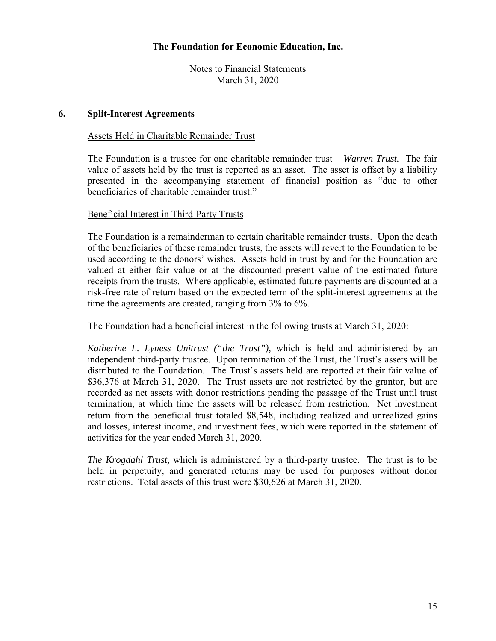Notes to Financial Statements March 31, 2020

#### **6. Split-Interest Agreements**

#### Assets Held in Charitable Remainder Trust

The Foundation is a trustee for one charitable remainder trust – *Warren Trust.* The fair value of assets held by the trust is reported as an asset. The asset is offset by a liability presented in the accompanying statement of financial position as "due to other beneficiaries of charitable remainder trust."

#### Beneficial Interest in Third-Party Trusts

The Foundation is a remainderman to certain charitable remainder trusts. Upon the death of the beneficiaries of these remainder trusts, the assets will revert to the Foundation to be used according to the donors' wishes. Assets held in trust by and for the Foundation are valued at either fair value or at the discounted present value of the estimated future receipts from the trusts. Where applicable, estimated future payments are discounted at a risk-free rate of return based on the expected term of the split-interest agreements at the time the agreements are created, ranging from 3% to 6%.

The Foundation had a beneficial interest in the following trusts at March 31, 2020:

*Katherine L. Lyness Unitrust ("the Trust"),* which is held and administered by an independent third-party trustee. Upon termination of the Trust, the Trust's assets will be distributed to the Foundation. The Trust's assets held are reported at their fair value of \$36,376 at March 31, 2020. The Trust assets are not restricted by the grantor, but are recorded as net assets with donor restrictions pending the passage of the Trust until trust termination, at which time the assets will be released from restriction. Net investment return from the beneficial trust totaled \$8,548, including realized and unrealized gains and losses, interest income, and investment fees, which were reported in the statement of activities for the year ended March 31, 2020.

*The Krogdahl Trust,* which is administered by a third-party trustee. The trust is to be held in perpetuity, and generated returns may be used for purposes without donor restrictions. Total assets of this trust were \$30,626 at March 31, 2020.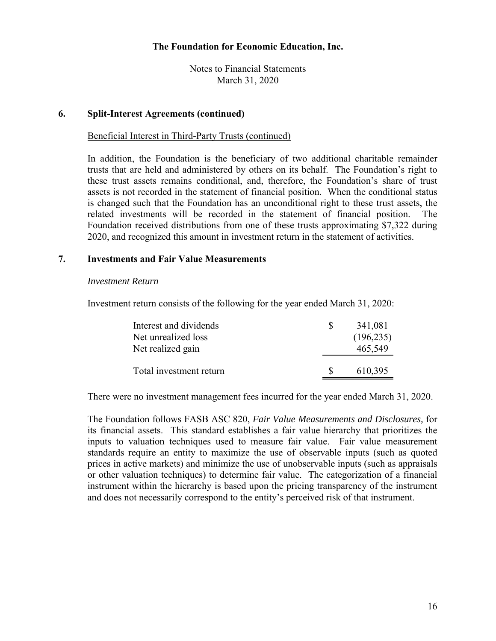Notes to Financial Statements March 31, 2020

#### **6. Split-Interest Agreements (continued)**

# Beneficial Interest in Third-Party Trusts (continued)

In addition, the Foundation is the beneficiary of two additional charitable remainder trusts that are held and administered by others on its behalf. The Foundation's right to these trust assets remains conditional, and, therefore, the Foundation's share of trust assets is not recorded in the statement of financial position. When the conditional status is changed such that the Foundation has an unconditional right to these trust assets, the related investments will be recorded in the statement of financial position. The Foundation received distributions from one of these trusts approximating \$7,322 during 2020, and recognized this amount in investment return in the statement of activities.

#### **7. Investments and Fair Value Measurements**

#### *Investment Return*

Investment return consists of the following for the year ended March 31, 2020:

| Interest and dividends  |    | 341,081    |
|-------------------------|----|------------|
| Net unrealized loss     |    | (196, 235) |
| Net realized gain       |    | 465,549    |
|                         |    |            |
| Total investment return | Ж. | 610,395    |

There were no investment management fees incurred for the year ended March 31, 2020.

The Foundation follows FASB ASC 820, *Fair Value Measurements and Disclosures,* for its financial assets. This standard establishes a fair value hierarchy that prioritizes the inputs to valuation techniques used to measure fair value. Fair value measurement standards require an entity to maximize the use of observable inputs (such as quoted prices in active markets) and minimize the use of unobservable inputs (such as appraisals or other valuation techniques) to determine fair value. The categorization of a financial instrument within the hierarchy is based upon the pricing transparency of the instrument and does not necessarily correspond to the entity's perceived risk of that instrument.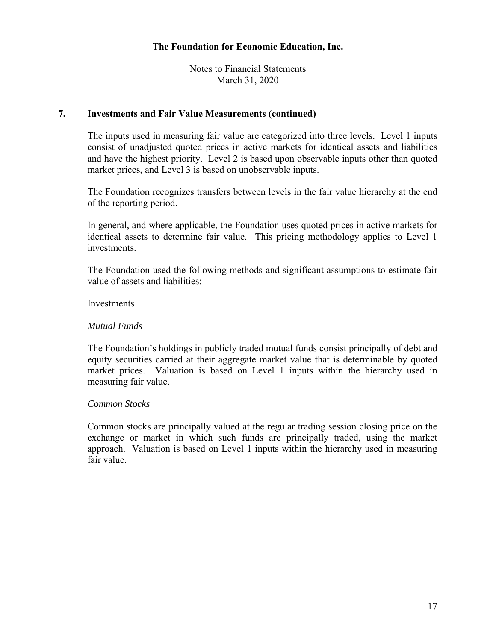Notes to Financial Statements March 31, 2020

#### **7. Investments and Fair Value Measurements (continued)**

The inputs used in measuring fair value are categorized into three levels. Level 1 inputs consist of unadjusted quoted prices in active markets for identical assets and liabilities and have the highest priority. Level 2 is based upon observable inputs other than quoted market prices, and Level 3 is based on unobservable inputs.

The Foundation recognizes transfers between levels in the fair value hierarchy at the end of the reporting period.

In general, and where applicable, the Foundation uses quoted prices in active markets for identical assets to determine fair value. This pricing methodology applies to Level 1 investments.

The Foundation used the following methods and significant assumptions to estimate fair value of assets and liabilities:

#### Investments

#### *Mutual Funds*

The Foundation's holdings in publicly traded mutual funds consist principally of debt and equity securities carried at their aggregate market value that is determinable by quoted market prices. Valuation is based on Level 1 inputs within the hierarchy used in measuring fair value.

#### *Common Stocks*

Common stocks are principally valued at the regular trading session closing price on the exchange or market in which such funds are principally traded, using the market approach. Valuation is based on Level 1 inputs within the hierarchy used in measuring fair value.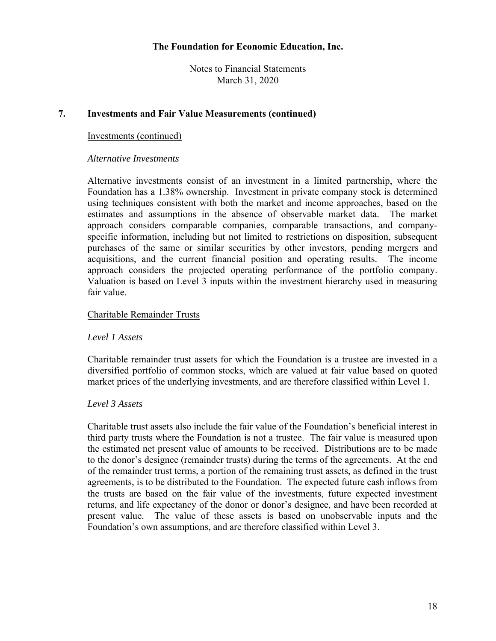Notes to Financial Statements March 31, 2020

#### **7. Investments and Fair Value Measurements (continued)**

#### Investments (continued)

#### *Alternative Investments*

Alternative investments consist of an investment in a limited partnership, where the Foundation has a 1.38% ownership. Investment in private company stock is determined using techniques consistent with both the market and income approaches, based on the estimates and assumptions in the absence of observable market data. The market approach considers comparable companies, comparable transactions, and companyspecific information, including but not limited to restrictions on disposition, subsequent purchases of the same or similar securities by other investors, pending mergers and acquisitions, and the current financial position and operating results. The income approach considers the projected operating performance of the portfolio company. Valuation is based on Level 3 inputs within the investment hierarchy used in measuring fair value.

#### Charitable Remainder Trusts

### *Level 1 Assets*

Charitable remainder trust assets for which the Foundation is a trustee are invested in a diversified portfolio of common stocks, which are valued at fair value based on quoted market prices of the underlying investments, and are therefore classified within Level 1.

#### *Level 3 Assets*

Charitable trust assets also include the fair value of the Foundation's beneficial interest in third party trusts where the Foundation is not a trustee. The fair value is measured upon the estimated net present value of amounts to be received. Distributions are to be made to the donor's designee (remainder trusts) during the terms of the agreements. At the end of the remainder trust terms, a portion of the remaining trust assets, as defined in the trust agreements, is to be distributed to the Foundation. The expected future cash inflows from the trusts are based on the fair value of the investments, future expected investment returns, and life expectancy of the donor or donor's designee, and have been recorded at present value. The value of these assets is based on unobservable inputs and the Foundation's own assumptions, and are therefore classified within Level 3.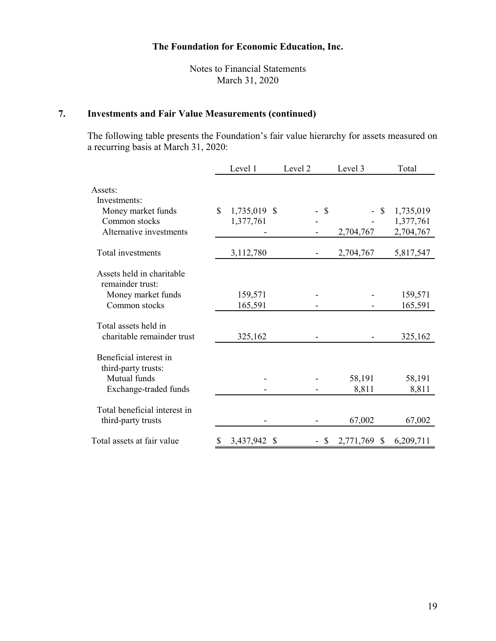Notes to Financial Statements March 31, 2020

# **7. Investments and Fair Value Measurements (continued)**

The following table presents the Foundation's fair value hierarchy for assets measured on a recurring basis at March 31, 2020:

|                                                    |              | Level 1      | Level 2       | Level 3                                  | Total     |
|----------------------------------------------------|--------------|--------------|---------------|------------------------------------------|-----------|
|                                                    |              |              |               |                                          |           |
| Assets:                                            |              |              |               |                                          |           |
| Investments:                                       |              |              |               |                                          |           |
| Money market funds                                 | $\mathbb{S}$ | 1,735,019 \$ | $\mathcal{S}$ | $\mathbb{S}$<br>$\overline{\phantom{0}}$ | 1,735,019 |
| Common stocks                                      |              | 1,377,761    |               |                                          | 1,377,761 |
| Alternative investments                            |              |              |               | 2,704,767                                | 2,704,767 |
| Total investments                                  |              | 3,112,780    |               | 2,704,767                                | 5,817,547 |
| Assets held in charitable<br>remainder trust:      |              |              |               |                                          |           |
| Money market funds                                 |              | 159,571      |               |                                          | 159,571   |
| Common stocks                                      |              | 165,591      |               |                                          | 165,591   |
| Total assets held in<br>charitable remainder trust |              | 325,162      |               |                                          | 325,162   |
|                                                    |              |              |               |                                          |           |
| Beneficial interest in<br>third-party trusts:      |              |              |               |                                          |           |
| Mutual funds                                       |              |              |               | 58,191                                   | 58,191    |
| Exchange-traded funds                              |              |              |               | 8,811                                    | 8,811     |
| Total beneficial interest in                       |              |              |               |                                          |           |
| third-party trusts                                 |              |              |               | 67,002                                   | 67,002    |
| Total assets at fair value                         |              | 3,437,942    | - \$          | 2,771,769 \$                             | 6,209,711 |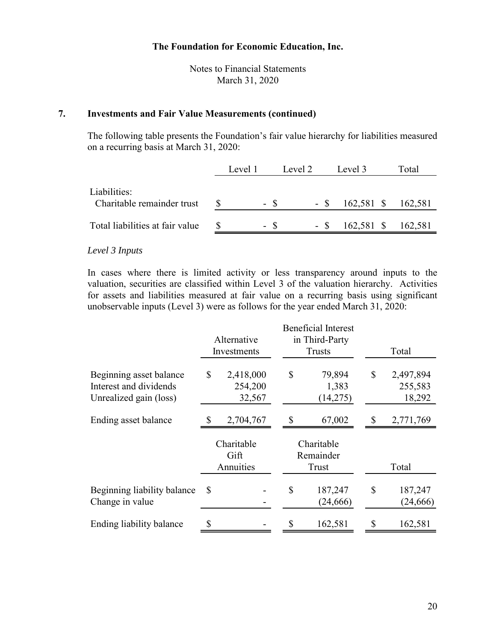Notes to Financial Statements March 31, 2020

#### **7. Investments and Fair Value Measurements (continued)**

The following table presents the Foundation's fair value hierarchy for liabilities measured on a recurring basis at March 31, 2020:

|                                            | Level 1 | Level 2 | Level 3                   | Total |
|--------------------------------------------|---------|---------|---------------------------|-------|
| Liabilities:<br>Charitable remainder trust | - \$    |         | $-$ \$ 162,581 \$ 162,581 |       |
| Total liabilities at fair value            | - \$    |         | $-$ \$ 162,581 \$ 162,581 |       |

#### *Level 3 Inputs*

In cases where there is limited activity or less transparency around inputs to the valuation, securities are classified within Level 3 of the valuation hierarchy. Activities for assets and liabilities measured at fair value on a recurring basis using significant unobservable inputs (Level 3) were as follows for the year ended March 31, 2020:

|                             | <b>Beneficial Interest</b> |             |    |                                  |    |           |
|-----------------------------|----------------------------|-------------|----|----------------------------------|----|-----------|
|                             |                            | Alternative |    | in Third-Party                   |    |           |
|                             |                            | Investments |    | <b>Trusts</b>                    |    | Total     |
| Beginning asset balance     | \$                         | 2,418,000   | \$ | 79,894                           | \$ | 2,497,894 |
| Interest and dividends      |                            | 254,200     |    | 1,383                            |    | 255,583   |
| Unrealized gain (loss)      |                            | 32,567      |    | (14,275)                         |    | 18,292    |
| Ending asset balance        |                            | 2,704,767   | \$ | 67,002                           |    | 2,771,769 |
|                             | Charitable<br>Gift         |             |    | Charitable<br>Remainder<br>Trust |    | Total     |
|                             |                            | Annuities   |    |                                  |    |           |
| Beginning liability balance | \$                         |             | \$ | 187,247                          | \$ | 187,247   |
| Change in value             |                            |             |    | (24, 666)                        |    | (24, 666) |
| Ending liability balance    | \$                         |             | \$ | 162,581                          | \$ | 162,581   |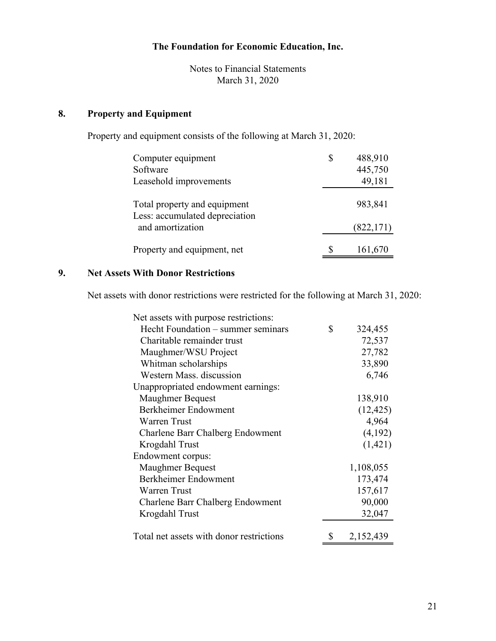Notes to Financial Statements March 31, 2020

# **8. Property and Equipment**

Property and equipment consists of the following at March 31, 2020:

| Computer equipment                                             | 488,910    |
|----------------------------------------------------------------|------------|
| Software                                                       | 445,750    |
| Leasehold improvements                                         | 49,181     |
| Total property and equipment<br>Less: accumulated depreciation | 983,841    |
| and amortization                                               | (822, 171) |
| Property and equipment, net                                    | 161,670    |

# **9. Net Assets With Donor Restrictions**

Net assets with donor restrictions were restricted for the following at March 31, 2020:

| Net assets with purpose restrictions:    |                 |
|------------------------------------------|-----------------|
| Hecht Foundation – summer seminars       | \$<br>324,455   |
| Charitable remainder trust               | 72,537          |
| Maughmer/WSU Project                     | 27,782          |
| Whitman scholarships                     | 33,890          |
| Western Mass, discussion                 | 6,746           |
| Unappropriated endowment earnings:       |                 |
| <b>Maughmer Bequest</b>                  | 138,910         |
| Berkheimer Endowment                     | (12, 425)       |
| <b>Warren Trust</b>                      | 4,964           |
| Charlene Barr Chalberg Endowment         | (4,192)         |
| Krogdahl Trust                           | (1,421)         |
| Endowment corpus:                        |                 |
| Maughmer Bequest                         | 1,108,055       |
| Berkheimer Endowment                     | 173,474         |
| <b>Warren Trust</b>                      | 157,617         |
| Charlene Barr Chalberg Endowment         | 90,000          |
| Krogdahl Trust                           | 32,047          |
|                                          |                 |
| Total net assets with donor restrictions | \$<br>2,152,439 |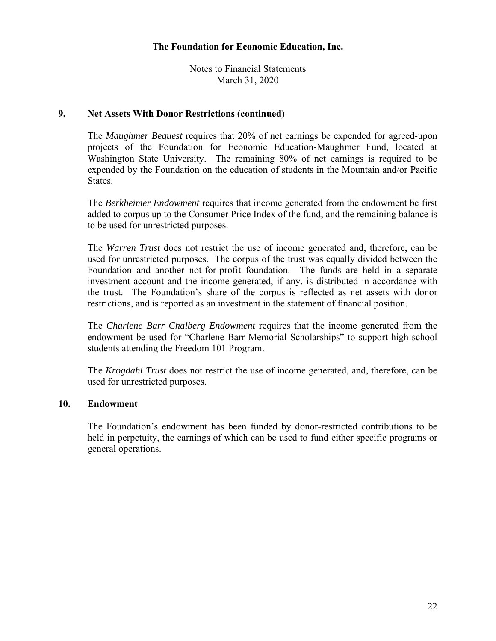Notes to Financial Statements March 31, 2020

### **9. Net Assets With Donor Restrictions (continued)**

The *Maughmer Bequest* requires that 20% of net earnings be expended for agreed-upon projects of the Foundation for Economic Education-Maughmer Fund, located at Washington State University. The remaining 80% of net earnings is required to be expended by the Foundation on the education of students in the Mountain and/or Pacific States.

The *Berkheimer Endowment* requires that income generated from the endowment be first added to corpus up to the Consumer Price Index of the fund, and the remaining balance is to be used for unrestricted purposes.

The *Warren Trust* does not restrict the use of income generated and, therefore, can be used for unrestricted purposes. The corpus of the trust was equally divided between the Foundation and another not-for-profit foundation. The funds are held in a separate investment account and the income generated, if any, is distributed in accordance with the trust. The Foundation's share of the corpus is reflected as net assets with donor restrictions, and is reported as an investment in the statement of financial position.

The *Charlene Barr Chalberg Endowment* requires that the income generated from the endowment be used for "Charlene Barr Memorial Scholarships" to support high school students attending the Freedom 101 Program.

The *Krogdahl Trust* does not restrict the use of income generated, and, therefore, can be used for unrestricted purposes.

### **10. Endowment**

The Foundation's endowment has been funded by donor-restricted contributions to be held in perpetuity, the earnings of which can be used to fund either specific programs or general operations.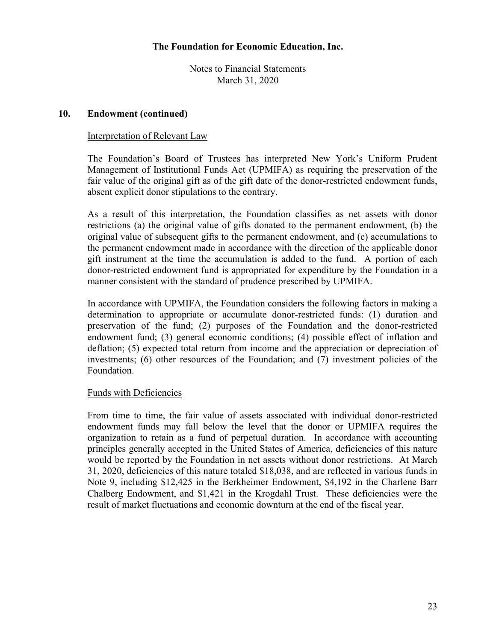Notes to Financial Statements March 31, 2020

#### **10. Endowment (continued)**

#### Interpretation of Relevant Law

The Foundation's Board of Trustees has interpreted New York's Uniform Prudent Management of Institutional Funds Act (UPMIFA) as requiring the preservation of the fair value of the original gift as of the gift date of the donor-restricted endowment funds, absent explicit donor stipulations to the contrary.

As a result of this interpretation, the Foundation classifies as net assets with donor restrictions (a) the original value of gifts donated to the permanent endowment, (b) the original value of subsequent gifts to the permanent endowment, and (c) accumulations to the permanent endowment made in accordance with the direction of the applicable donor gift instrument at the time the accumulation is added to the fund. A portion of each donor-restricted endowment fund is appropriated for expenditure by the Foundation in a manner consistent with the standard of prudence prescribed by UPMIFA.

In accordance with UPMIFA, the Foundation considers the following factors in making a determination to appropriate or accumulate donor-restricted funds: (1) duration and preservation of the fund; (2) purposes of the Foundation and the donor-restricted endowment fund; (3) general economic conditions; (4) possible effect of inflation and deflation; (5) expected total return from income and the appreciation or depreciation of investments; (6) other resources of the Foundation; and (7) investment policies of the Foundation.

#### Funds with Deficiencies

From time to time, the fair value of assets associated with individual donor-restricted endowment funds may fall below the level that the donor or UPMIFA requires the organization to retain as a fund of perpetual duration. In accordance with accounting principles generally accepted in the United States of America, deficiencies of this nature would be reported by the Foundation in net assets without donor restrictions. At March 31, 2020, deficiencies of this nature totaled \$18,038, and are reflected in various funds in Note 9, including \$12,425 in the Berkheimer Endowment, \$4,192 in the Charlene Barr Chalberg Endowment, and \$1,421 in the Krogdahl Trust. These deficiencies were the result of market fluctuations and economic downturn at the end of the fiscal year.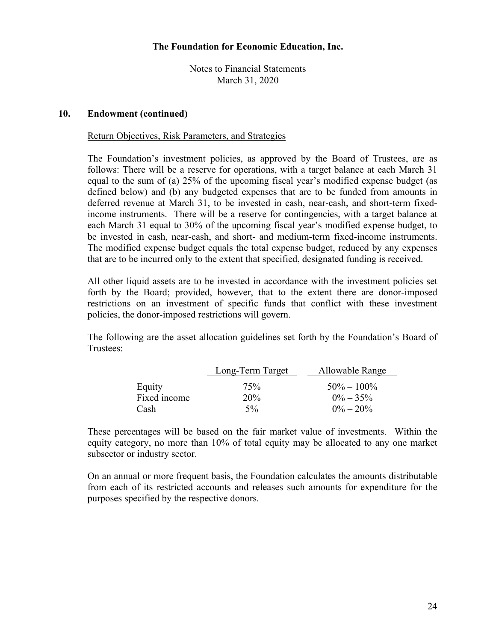Notes to Financial Statements March 31, 2020

#### **10. Endowment (continued)**

#### Return Objectives, Risk Parameters, and Strategies

The Foundation's investment policies, as approved by the Board of Trustees, are as follows: There will be a reserve for operations, with a target balance at each March 31 equal to the sum of (a) 25% of the upcoming fiscal year's modified expense budget (as defined below) and (b) any budgeted expenses that are to be funded from amounts in deferred revenue at March 31, to be invested in cash, near-cash, and short-term fixedincome instruments. There will be a reserve for contingencies, with a target balance at each March 31 equal to 30% of the upcoming fiscal year's modified expense budget, to be invested in cash, near-cash, and short- and medium-term fixed-income instruments. The modified expense budget equals the total expense budget, reduced by any expenses that are to be incurred only to the extent that specified, designated funding is received.

All other liquid assets are to be invested in accordance with the investment policies set forth by the Board; provided, however, that to the extent there are donor-imposed restrictions on an investment of specific funds that conflict with these investment policies, the donor-imposed restrictions will govern.

The following are the asset allocation guidelines set forth by the Foundation's Board of Trustees:

|              | Long-Term Target | Allowable Range |
|--------------|------------------|-----------------|
| Equity       | 75%              | $50\% - 100\%$  |
| Fixed income | 20 <sup>%</sup>  | $0\% - 35\%$    |
| Cash         | $5\%$            | $0\% - 20\%$    |

These percentages will be based on the fair market value of investments. Within the equity category, no more than 10% of total equity may be allocated to any one market subsector or industry sector.

On an annual or more frequent basis, the Foundation calculates the amounts distributable from each of its restricted accounts and releases such amounts for expenditure for the purposes specified by the respective donors.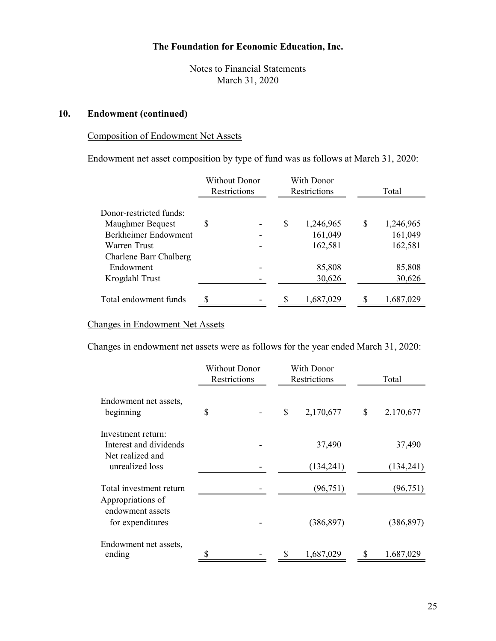Notes to Financial Statements March 31, 2020

# **10. Endowment (continued)**

# Composition of Endowment Net Assets

Endowment net asset composition by type of fund was as follows at March 31, 2020:

|                         | <b>Without Donor</b><br>Restrictions | With Donor<br>Restrictions |           | Total |           |
|-------------------------|--------------------------------------|----------------------------|-----------|-------|-----------|
|                         |                                      |                            |           |       |           |
| Donor-restricted funds: |                                      |                            |           |       |           |
| Maughmer Bequest        | S                                    | S                          | 1,246,965 | \$    | 1,246,965 |
| Berkheimer Endowment    |                                      |                            | 161,049   |       | 161,049   |
| Warren Trust            |                                      |                            | 162,581   |       | 162,581   |
| Charlene Barr Chalberg  |                                      |                            |           |       |           |
| Endowment               |                                      |                            | 85,808    |       | 85,808    |
| Krogdahl Trust          |                                      |                            | 30,626    |       | 30,626    |
|                         |                                      |                            |           |       |           |
| Total endowment funds   |                                      |                            | 1,687,029 |       | 1,687,029 |

# Changes in Endowment Net Assets

Changes in endowment net assets were as follows for the year ended March 31, 2020:

| <b>Without Donor</b><br>Restrictions                             |    | With Donor<br>Restrictions | Total      |    |            |
|------------------------------------------------------------------|----|----------------------------|------------|----|------------|
| Endowment net assets,<br>beginning                               | \$ | \$                         | 2,170,677  | \$ | 2,170,677  |
| Investment return:<br>Interest and dividends<br>Net realized and |    |                            | 37,490     |    | 37,490     |
| unrealized loss                                                  |    |                            | (134,241)  |    | (134,241)  |
| Total investment return<br>Appropriations of                     |    |                            | (96,751)   |    | (96, 751)  |
| endowment assets<br>for expenditures                             |    |                            | (386, 897) |    | (386, 897) |
| Endowment net assets,<br>ending                                  | \$ | \$                         | 1,687,029  |    | 1,687,029  |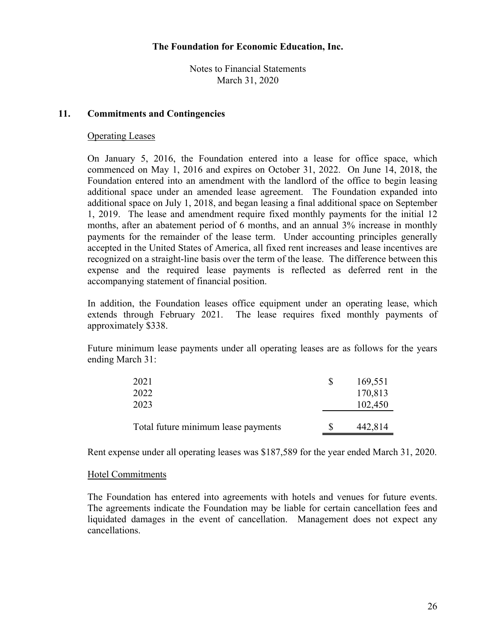Notes to Financial Statements March 31, 2020

#### **11. Commitments and Contingencies**

#### Operating Leases

On January 5, 2016, the Foundation entered into a lease for office space, which commenced on May 1, 2016 and expires on October 31, 2022. On June 14, 2018, the Foundation entered into an amendment with the landlord of the office to begin leasing additional space under an amended lease agreement. The Foundation expanded into additional space on July 1, 2018, and began leasing a final additional space on September 1, 2019. The lease and amendment require fixed monthly payments for the initial 12 months, after an abatement period of 6 months, and an annual 3% increase in monthly payments for the remainder of the lease term. Under accounting principles generally accepted in the United States of America, all fixed rent increases and lease incentives are recognized on a straight-line basis over the term of the lease. The difference between this expense and the required lease payments is reflected as deferred rent in the accompanying statement of financial position.

In addition, the Foundation leases office equipment under an operating lease, which extends through February 2021. The lease requires fixed monthly payments of approximately \$338.

Future minimum lease payments under all operating leases are as follows for the years ending March 31:

| 2021                                | 169,551 |
|-------------------------------------|---------|
| 2022                                | 170,813 |
| 2023                                | 102,450 |
|                                     |         |
| Total future minimum lease payments | 442,814 |
|                                     |         |

Rent expense under all operating leases was \$187,589 for the year ended March 31, 2020.

#### Hotel Commitments

The Foundation has entered into agreements with hotels and venues for future events. The agreements indicate the Foundation may be liable for certain cancellation fees and liquidated damages in the event of cancellation. Management does not expect any cancellations.